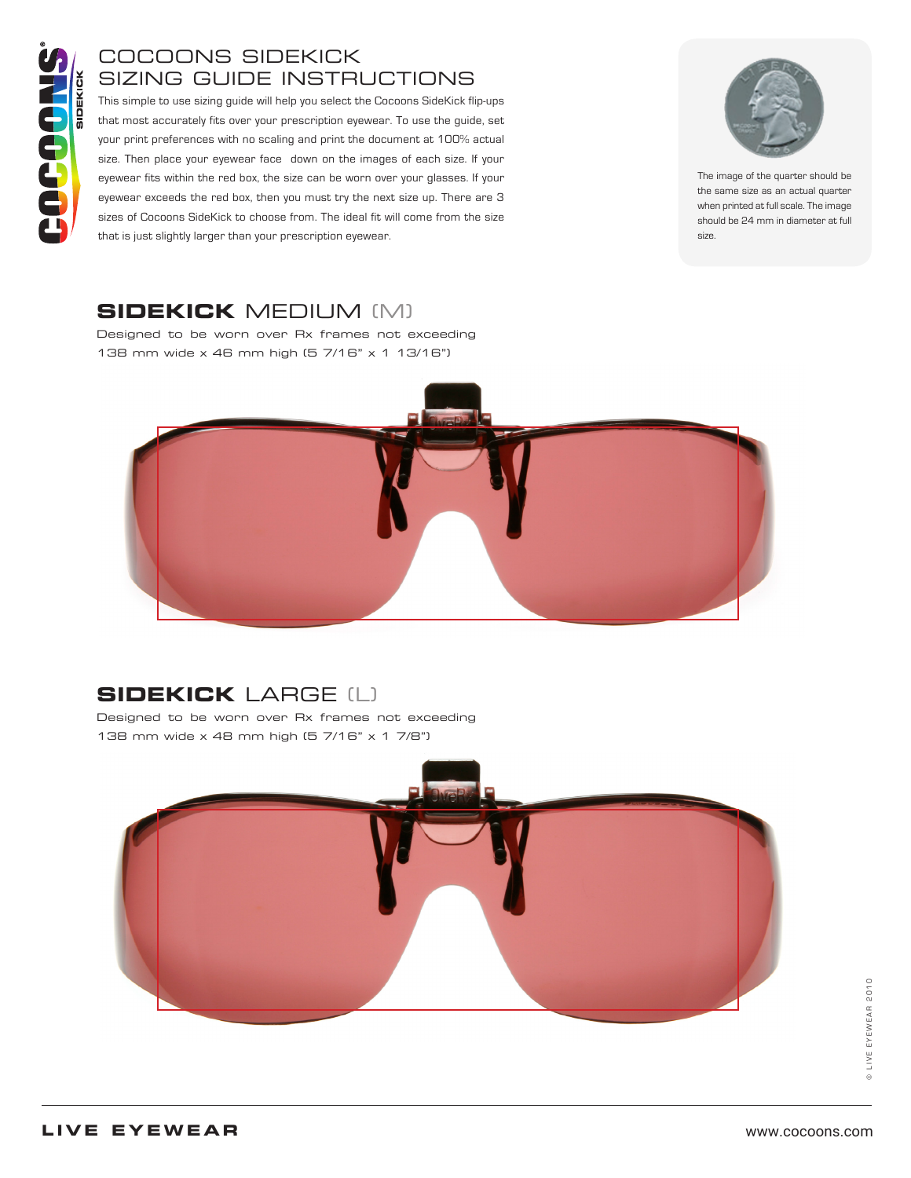### COCOONS SIDEKICK SIZING GUIDE INSTRUCTIONS

This simple to use sizing guide will help you select the Cocoons SideKick flip-ups that most accurately fits over your prescription eyewear. To use the guide, set your print preferences with no scaling and print the document at 100% actual size. Then place your eyewear face down on the images of each size. If your eyewear fits within the red box, the size can be worn over your glasses. If your eyewear exceeds the red box, then you must try the next size up. There are 3 sizes of Cocoons SideKick to choose from. The ideal fit will come from the size that is just slightly larger than your prescription eyewear.



The image of the quarter should be the same size as an actual quarter when printed at full scale. The image should be 24 mm in diameter at full size.

### **SIDEKICK** MEDIUM (M)

Designed to be worn over Rx frames not exceeding 138 mm wide x 46 mm high (5 7/16" x 1 13/16")



# **SIDEKICK** LARGE (L)

Designed to be worn over Rx frames not exceeding 138 mm wide x 48 mm high (5 7/16" x 1 7/8")



© LIVE EYEWEAR 2010 © LIVE EYEWEAR 2010